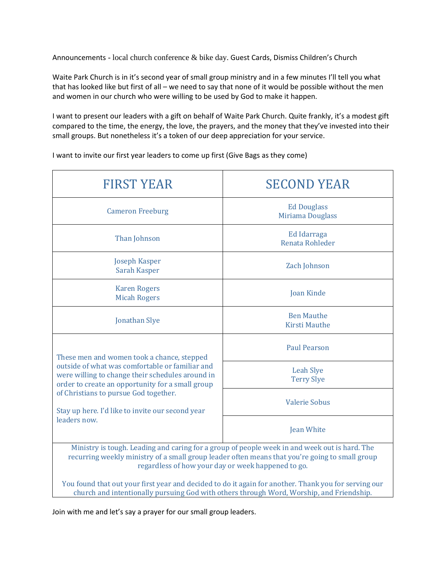Announcements - local church conference & bike day. Guest Cards, Dismiss Children's Church

Waite Park Church is in it's second year of small group ministry and in a few minutes I'll tell you what that has looked like but first of all – we need to say that none of it would be possible without the men and women in our church who were willing to be used by God to make it happen.

I want to present our leaders with a gift on behalf of Waite Park Church. Quite frankly, it's a modest gift compared to the time, the energy, the love, the prayers, and the money that they've invested into their small groups. But nonetheless it's a token of our deep appreciation for your service.

I want to invite our first year leaders to come up first (Give Bags as they come)

| <b>FIRST YEAR</b>                                                                                                                                                                                                                                                                                                  | <b>SECOND YEAR</b>                            |
|--------------------------------------------------------------------------------------------------------------------------------------------------------------------------------------------------------------------------------------------------------------------------------------------------------------------|-----------------------------------------------|
| <b>Cameron Freeburg</b>                                                                                                                                                                                                                                                                                            | <b>Ed Douglass</b><br><b>Miriama Douglass</b> |
| Than Johnson                                                                                                                                                                                                                                                                                                       | Ed Idarraga<br>Renata Rohleder                |
| Joseph Kasper<br>Sarah Kasper                                                                                                                                                                                                                                                                                      | Zach Johnson                                  |
| <b>Karen Rogers</b><br><b>Micah Rogers</b>                                                                                                                                                                                                                                                                         | <b>Joan Kinde</b>                             |
| <b>Jonathan Slye</b>                                                                                                                                                                                                                                                                                               | <b>Ben Mauthe</b><br><b>Kirsti Mauthe</b>     |
| These men and women took a chance, stepped<br>outside of what was comfortable or familiar and<br>were willing to change their schedules around in<br>order to create an opportunity for a small group<br>of Christians to pursue God together.<br>Stay up here. I'd like to invite our second year<br>leaders now. | <b>Paul Pearson</b>                           |
|                                                                                                                                                                                                                                                                                                                    | <b>Leah Slye</b><br><b>Terry Slye</b>         |
|                                                                                                                                                                                                                                                                                                                    | <b>Valerie Sobus</b>                          |
|                                                                                                                                                                                                                                                                                                                    | <b>Jean White</b>                             |
| Ministry is tough. Leading and caring for a group of people week in and week out is hard. The<br>recurring weekly ministry of a small group leader often means that you're going to small group<br>regardless of how your day or week happened to go.                                                              |                                               |

You found that out your first year and decided to do it again for another. Thank you for serving our church and intentionally pursuing God with others through Word, Worship, and Friendship.

Join with me and let's say a prayer for our small group leaders.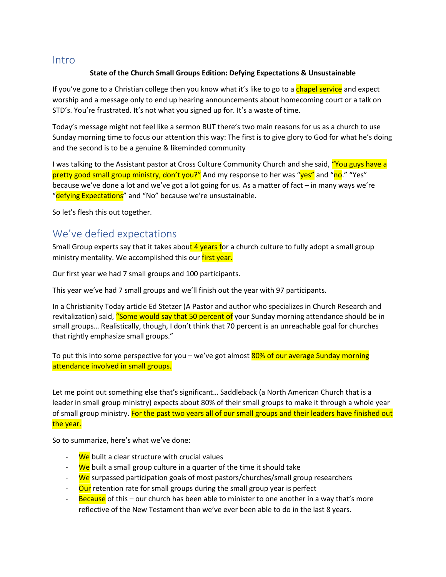### Intro

#### **State of the Church Small Groups Edition: Defying Expectations & Unsustainable**

If you've gone to a Christian college then you know what it's like to go to a chapel service and expect worship and a message only to end up hearing announcements about homecoming court or a talk on STD's. You're frustrated. It's not what you signed up for. It's a waste of time.

Today's message might not feel like a sermon BUT there's two main reasons for us as a church to use Sunday morning time to focus our attention this way: The first is to give glory to God for what he's doing and the second is to be a genuine & likeminded community

I was talking to the Assistant pastor at Cross Culture Community Church and she said, "You guys have a pretty good small group ministry, don't you?" And my response to her was "yes" and "no." "Yes" because we've done a lot and we've got a lot going for us. As a matter of fact – in many ways we're "defying Expectations" and "No" because we're unsustainable.

So let's flesh this out together.

### We've defied expectations

Small Group experts say that it takes about 4 years for a church culture to fully adopt a small group ministry mentality. We accomplished this our first year.

Our first year we had 7 small groups and 100 participants.

This year we've had 7 small groups and we'll finish out the year with 97 participants.

In a Christianity Today article Ed Stetzer (A Pastor and author who specializes in Church Research and revitalization) said, "Some would say that 50 percent of your Sunday morning attendance should be in small groups… Realistically, though, I don't think that 70 percent is an unreachable goal for churches that rightly emphasize small groups."

To put this into some perspective for you – we've got almost 80% of our average Sunday morning attendance involved in small groups.

Let me point out something else that's significant… Saddleback (a North American Church that is a leader in small group ministry) expects about 80% of their small groups to make it through a whole year of small group ministry. For the past two years all of our small groups and their leaders have finished out the year.

So to summarize, here's what we've done:

- We built a clear structure with crucial values
- We built a small group culture in a quarter of the time it should take
- We surpassed participation goals of most pastors/churches/small group researchers
- Our retention rate for small groups during the small group year is perfect
- **Because** of this our church has been able to minister to one another in a way that's more reflective of the New Testament than we've ever been able to do in the last 8 years.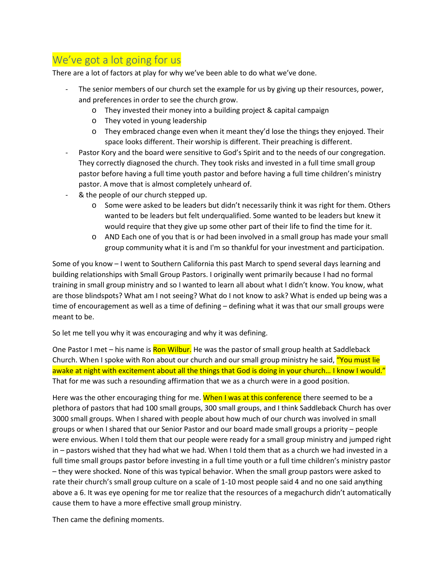# We've got a lot going for us

There are a lot of factors at play for why we've been able to do what we've done.

- The senior members of our church set the example for us by giving up their resources, power, and preferences in order to see the church grow.
	- o They invested their money into a building project & capital campaign
	- o They voted in young leadership
	- o They embraced change even when it meant they'd lose the things they enjoyed. Their space looks different. Their worship is different. Their preaching is different.
- Pastor Kory and the board were sensitive to God's Spirit and to the needs of our congregation. They correctly diagnosed the church. They took risks and invested in a full time small group pastor before having a full time youth pastor and before having a full time children's ministry pastor. A move that is almost completely unheard of.
- & the people of our church stepped up.
	- o Some were asked to be leaders but didn't necessarily think it was right for them. Others wanted to be leaders but felt underqualified. Some wanted to be leaders but knew it would require that they give up some other part of their life to find the time for it.
	- o AND Each one of you that is or had been involved in a small group has made your small group community what it is and I'm so thankful for your investment and participation.

Some of you know – I went to Southern California this past March to spend several days learning and building relationships with Small Group Pastors. I originally went primarily because I had no formal training in small group ministry and so I wanted to learn all about what I didn't know. You know, what are those blindspots? What am I not seeing? What do I not know to ask? What is ended up being was a time of encouragement as well as a time of defining – defining what it was that our small groups were meant to be.

So let me tell you why it was encouraging and why it was defining.

One Pastor I met – his name is **Ron Wilbur.** He was the pastor of small group health at Saddleback Church. When I spoke with Ron about our church and our small group ministry he said, "You must lie awake at night with excitement about all the things that God is doing in your church... I know I would." That for me was such a resounding affirmation that we as a church were in a good position.

Here was the other encouraging thing for me. When I was at this conference there seemed to be a plethora of pastors that had 100 small groups, 300 small groups, and I think Saddleback Church has over 3000 small groups. When I shared with people about how much of our church was involved in small groups or when I shared that our Senior Pastor and our board made small groups a priority – people were envious. When I told them that our people were ready for a small group ministry and jumped right in – pastors wished that they had what we had. When I told them that as a church we had invested in a full time small groups pastor before investing in a full time youth or a full time children's ministry pastor – they were shocked. None of this was typical behavior. When the small group pastors were asked to rate their church's small group culture on a scale of 1-10 most people said 4 and no one said anything above a 6. It was eye opening for me tor realize that the resources of a megachurch didn't automatically cause them to have a more effective small group ministry.

Then came the defining moments.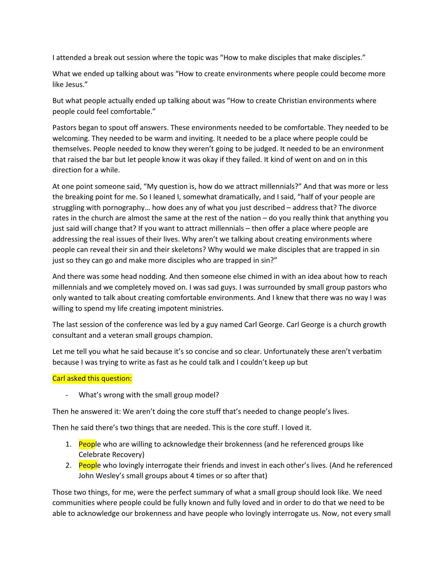I attended a break out session where the topic was "How to make disciples that make disciples."

What we ended up talking about was "How to create environments where people could become more like Jesus."

But what people actually ended up talking about was "How to create Christian environments where people could feel comfortable."

Pastors began to spout off answers. These environments needed to be comfortable. They needed to be welcoming. They needed to be warm and inviting. It needed to be a place where people could be themselves. People needed to know they weren't going to be judged. It needed to be an environment that raised the bar but let people know it was okay if they failed. It kind of went on and on in this direction for a while.

At one point someone said, "My question is, how do we attract millennials?" And that was more or less the breaking point for me. So I leaned I, somewhat dramatically, and I said, "half of your people are struggling with pornography… how does any of what you just described – address that? The divorce rates in the church are almost the same at the rest of the nation – do you really think that anything you just said will change that? If you want to attract millennials – then offer a place where people are addressing the real issues of their lives. Why aren't we talking about creating environments where people can reveal their sin and their skeletons? Why would we make disciples that are trapped in sin just so they can go and make more disciples who are trapped in sin?"

And there was some head nodding. And then someone else chimed in with an idea about how to reach millennials and we completely moved on. I was sad guys. I was surrounded by small group pastors who only wanted to talk about creating comfortable environments. And I knew that there was no way I was willing to spend my life creating impotent ministries.

The last session of the conference was led by a guy named Carl George. Carl George is a church growth consultant and a veteran small groups champion.

Let me tell you what he said because it's so concise and so clear. Unfortunately these aren't verbatim because I was trying to write as fast as he could talk and I couldn't keep up but

#### Carl asked this question:

- What's wrong with the small group model?

Then he answered it: We aren't doing the core stuff that's needed to change people's lives.

Then he said there's two things that are needed. This is the core stuff. I loved it.

- 1. People who are willing to acknowledge their brokenness (and he referenced groups like Celebrate Recovery)
- 2. People who lovingly interrogate their friends and invest in each other's lives. (And he referenced John Wesley's small groups about 4 times or so after that)

Those two things, for me, were the perfect summary of what a small group should look like. We need communities where people could be fully known and fully loved and in order to do that we need to be able to acknowledge our brokenness and have people who lovingly interrogate us. Now, not every small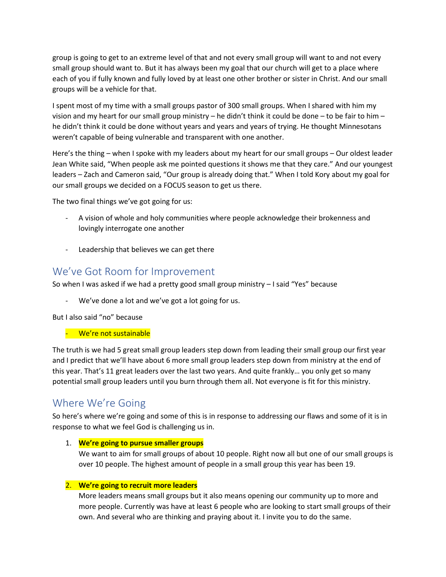group is going to get to an extreme level of that and not every small group will want to and not every small group should want to. But it has always been my goal that our church will get to a place where each of you if fully known and fully loved by at least one other brother or sister in Christ. And our small groups will be a vehicle for that.

I spent most of my time with a small groups pastor of 300 small groups. When I shared with him my vision and my heart for our small group ministry – he didn't think it could be done – to be fair to him – he didn't think it could be done without years and years and years of trying. He thought Minnesotans weren't capable of being vulnerable and transparent with one another.

Here's the thing – when I spoke with my leaders about my heart for our small groups – Our oldest leader Jean White said, "When people ask me pointed questions it shows me that they care." And our youngest leaders – Zach and Cameron said, "Our group is already doing that." When I told Kory about my goal for our small groups we decided on a FOCUS season to get us there.

The two final things we've got going for us:

- A vision of whole and holy communities where people acknowledge their brokenness and lovingly interrogate one another
- Leadership that believes we can get there

## We've Got Room for Improvement

So when I was asked if we had a pretty good small group ministry – I said "Yes" because

We've done a lot and we've got a lot going for us.

But I also said "no" because

- We're not sustainable

The truth is we had 5 great small group leaders step down from leading their small group our first year and I predict that we'll have about 6 more small group leaders step down from ministry at the end of this year. That's 11 great leaders over the last two years. And quite frankly… you only get so many potential small group leaders until you burn through them all. Not everyone is fit for this ministry.

## Where We're Going

So here's where we're going and some of this is in response to addressing our flaws and some of it is in response to what we feel God is challenging us in.

#### 1. **We're going to pursue smaller groups**

We want to aim for small groups of about 10 people. Right now all but one of our small groups is over 10 people. The highest amount of people in a small group this year has been 19.

#### 2. **We're going to recruit more leaders**

More leaders means small groups but it also means opening our community up to more and more people. Currently was have at least 6 people who are looking to start small groups of their own. And several who are thinking and praying about it. I invite you to do the same.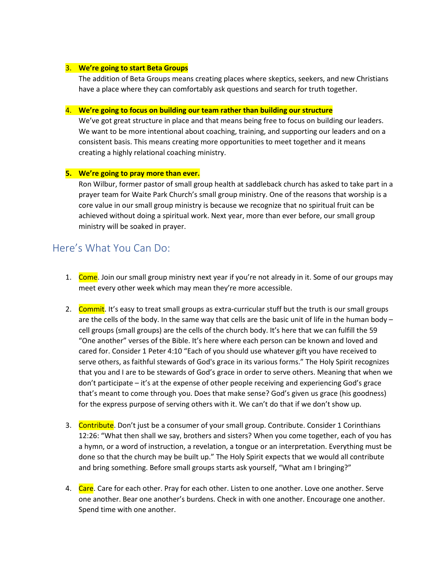#### 3. **We're going to start Beta Groups**

The addition of Beta Groups means creating places where skeptics, seekers, and new Christians have a place where they can comfortably ask questions and search for truth together.

#### 4. **We're going to focus on building our team rather than building our structure**

We've got great structure in place and that means being free to focus on building our leaders. We want to be more intentional about coaching, training, and supporting our leaders and on a consistent basis. This means creating more opportunities to meet together and it means creating a highly relational coaching ministry.

#### **5. We're going to pray more than ever.**

Ron Wilbur, former pastor of small group health at saddleback church has asked to take part in a prayer team for Waite Park Church's small group ministry. One of the reasons that worship is a core value in our small group ministry is because we recognize that no spiritual fruit can be achieved without doing a spiritual work. Next year, more than ever before, our small group ministry will be soaked in prayer.

### Here's What You Can Do:

- 1. Come. Join our small group ministry next year if you're not already in it. Some of our groups may meet every other week which may mean they're more accessible.
- 2. Commit. It's easy to treat small groups as extra-curricular stuff but the truth is our small groups are the cells of the body. In the same way that cells are the basic unit of life in the human body – cell groups (small groups) are the cells of the church body. It's here that we can fulfill the 59 "One another" verses of the Bible. It's here where each person can be known and loved and cared for. Consider 1 Peter 4:10 "Each of you should use whatever gift you have received to serve others, as faithful stewards of God's grace in its various forms." The Holy Spirit recognizes that you and I are to be stewards of God's grace in order to serve others. Meaning that when we don't participate – it's at the expense of other people receiving and experiencing God's grace that's meant to come through you. Does that make sense? God's given us grace (his goodness) for the express purpose of serving others with it. We can't do that if we don't show up.
- 3. Contribute. Don't just be a consumer of your small group. Contribute. Consider 1 Corinthians 12:26: "What then shall we say, brothers and sisters? When you come together, each of you has a hymn, or a word of instruction, a revelation, a tongue or an interpretation. Everything must be done so that the church may be built up." The Holy Spirit expects that we would all contribute and bring something. Before small groups starts ask yourself, "What am I bringing?"
- 4. Care. Care for each other. Pray for each other. Listen to one another. Love one another. Serve one another. Bear one another's burdens. Check in with one another. Encourage one another. Spend time with one another.